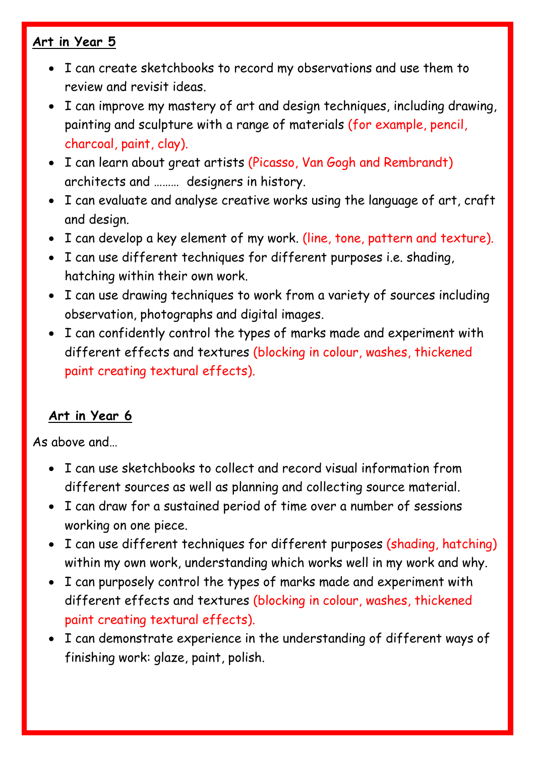## **Art in Year 5**

- I can create sketchbooks to record my observations and use them to review and revisit ideas.
- I can improve my mastery of art and design techniques, including drawing, painting and sculpture with a range of materials (for example, pencil, charcoal, paint, clay).
- I can learn about great artists (Picasso, Van Gogh and Rembrandt) architects and ……… designers in history.
- I can evaluate and analyse creative works using the language of art, craft and design.
- I can develop a key element of my work. (line, tone, pattern and texture).
- I can use different techniques for different purposes i.e. shading, hatching within their own work.
- I can use drawing techniques to work from a variety of sources including observation, photographs and digital images.
- I can confidently control the types of marks made and experiment with different effects and textures (blocking in colour, washes, thickened paint creating textural effects).

#### **Art in Year 6**

As above and…

- I can use sketchbooks to collect and record visual information from different sources as well as planning and collecting source material.
- I can draw for a sustained period of time over a number of sessions working on one piece.
- I can use different techniques for different purposes (shading, hatching) within my own work, understanding which works well in my work and why.
- I can purposely control the types of marks made and experiment with different effects and textures (blocking in colour, washes, thickened paint creating textural effects).
- I can demonstrate experience in the understanding of different ways of finishing work: glaze, paint, polish.